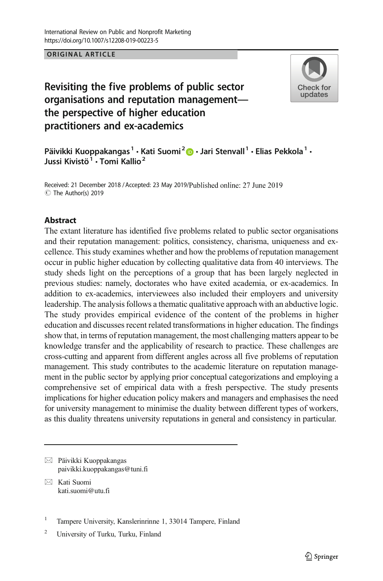# Revisiting the five problems of public sector organisations and reputation management the perspective of higher education practitioners and ex-academics



Päivikki Kuoppakangas<sup>1</sup> · Kati Suomi<sup>2</sup> · Jari Stenvall<sup>1</sup> · Elias Pekkola<sup>1</sup> · Jussi Kivistö<sup>1</sup> · Tomi Kallio<sup>2</sup>

Received: 21 December 2018 / Accepted: 23 May 2019/Published online: 27 June 2019 C The Author(s) 2019

# **Abstract**

The extant literature has identified five problems related to public sector organisations and their reputation management: politics, consistency, charisma, uniqueness and excellence. This study examines whether and how the problems of reputation management occur in public higher education by collecting qualitative data from 40 interviews. The study sheds light on the perceptions of a group that has been largely neglected in previous studies: namely, doctorates who have exited academia, or ex-academics. In addition to ex-academics, interviewees also included their employers and university leadership. The analysis follows a thematic qualitative approach with an abductive logic. The study provides empirical evidence of the content of the problems in higher education and discusses recent related transformations in higher education. The findings show that, in terms of reputation management, the most challenging matters appear to be knowledge transfer and the applicability of research to practice. These challenges are cross-cutting and apparent from different angles across all five problems of reputation management. This study contributes to the academic literature on reputation management in the public sector by applying prior conceptual categorizations and employing a comprehensive set of empirical data with a fresh perspective. The study presents implications for higher education policy makers and managers and emphasises the need for university management to minimise the duality between different types of workers, as this duality threatens university reputations in general and consistency in particular.

 $\boxtimes$  Päivikki Kuoppakangas [paivikki.kuoppakangas@tuni.fi](mailto:kati.suomi@utu.fi)

 $\boxtimes$  Kati Suomi [kati.suomi@utu.fi](mailto:kati.suomi@utu.fi)

<sup>&</sup>lt;sup>1</sup> Tampere University, Kanslerinrinne 1, 33014 Tampere, Finland

<sup>2</sup> University of Turku, Turku, Finland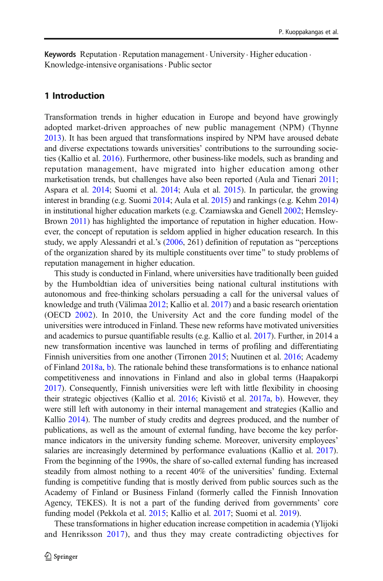Keywords Reputation . Reputation management . University. Higher education . Knowledge-intensive organisations. Public sector

# 1 Introduction

Transformation trends in higher education in Europe and beyond have growingly adopted market-driven approaches of new public management (NPM) (Thynne [2013\)](#page-23-0). It has been argued that transformations inspired by NPM have aroused debate and diverse expectations towards universities' contributions to the surrounding societies (Kallio et al. [2016](#page-22-0)). Furthermore, other business-like models, such as branding and reputation management, have migrated into higher education among other marketisation trends, but challenges have also been reported (Aula and Tienari [2011;](#page-21-0) Aspara et al. [2014](#page-21-0); Suomi et al. [2014](#page-23-0); Aula et al. [2015\)](#page-21-0). In particular, the growing interest in branding (e.g. Suomi [2014](#page-23-0); Aula et al. [2015](#page-21-0)) and rankings (e.g. Kehm [2014](#page-22-0)) in institutional higher education markets (e.g. Czarniawska and Genell [2002;](#page-21-0) Hemsley-Brown [2011\)](#page-22-0) has highlighted the importance of reputation in higher education. However, the concept of reputation is seldom applied in higher education research. In this study, we apply Alessandri et al.'s  $(2006, 261)$  $(2006, 261)$  definition of reputation as "perceptions of the organization shared by its multiple constituents over time^ to study problems of reputation management in higher education.

This study is conducted in Finland, where universities have traditionally been guided by the Humboldtian idea of universities being national cultural institutions with autonomous and free-thinking scholars persuading a call for the universal values of knowledge and truth (Välimaa [2012](#page-23-0); Kallio et al. [2017\)](#page-22-0) and a basic research orientation (OECD [2002](#page-22-0)). In 2010, the University Act and the core funding model of the universities were introduced in Finland. These new reforms have motivated universities and academics to pursue quantifiable results (e.g. Kallio et al. [2017](#page-22-0)). Further, in 2014 a new transformation incentive was launched in terms of profiling and differentiating Finnish universities from one another (Tirronen [2015](#page-23-0); Nuutinen et al. [2016](#page-22-0); Academy of Finland [2018a,](#page-21-0) [b\)](#page-21-0). The rationale behind these transformations is to enhance national competitiveness and innovations in Finland and also in global terms (Haapakorpi [2017\)](#page-22-0). Consequently, Finnish universities were left with little flexibility in choosing their strategic objectives (Kallio et al. [2016;](#page-22-0) Kivistö et al. [2017a](#page-22-0), [b](#page-22-0)). However, they were still left with autonomy in their internal management and strategies (Kallio and Kallio [2014\)](#page-22-0). The number of study credits and degrees produced, and the number of publications, as well as the amount of external funding, have become the key performance indicators in the university funding scheme. Moreover, university employees' salaries are increasingly determined by performance evaluations (Kallio et al. [2017\)](#page-22-0). From the beginning of the 1990s, the share of so-called external funding has increased steadily from almost nothing to a recent 40% of the universities' funding. External funding is competitive funding that is mostly derived from public sources such as the Academy of Finland or Business Finland (formerly called the Finnish Innovation Agency, TEKES). It is not a part of the funding derived from governments' core funding model (Pekkola et al. [2015](#page-22-0); Kallio et al. [2017;](#page-22-0) Suomi et al. [2019](#page-23-0)).

These transformations in higher education increase competition in academia (Ylijoki and Henriksson [2017](#page-24-0)), and thus they may create contradicting objectives for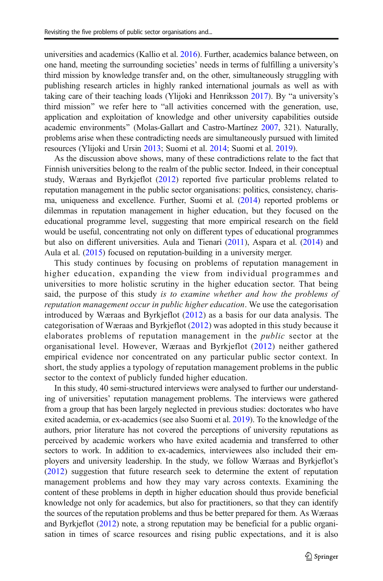universities and academics (Kallio et al. [2016](#page-22-0)). Further, academics balance between, on one hand, meeting the surrounding societies' needs in terms of fulfilling a university's third mission by knowledge transfer and, on the other, simultaneously struggling with publishing research articles in highly ranked international journals as well as with taking care of their teaching loads (Ylijoki and Henriksson [2017\)](#page-24-0). By "a university's third mission" we refer here to "all activities concerned with the generation, use, application and exploitation of knowledge and other university capabilities outside academic environments" (Molas-Gallart and Castro-Martínez [2007](#page-22-0), 321). Naturally, problems arise when these contradicting needs are simultaneously pursued with limited resources (Ylijoki and Ursin [2013;](#page-24-0) Suomi et al. [2014](#page-23-0); Suomi et al. [2019](#page-23-0)).

As the discussion above shows, many of these contradictions relate to the fact that Finnish universities belong to the realm of the public sector. Indeed, in their conceptual study, Wæraas and Byrkjeflot ([2012\)](#page-23-0) reported five particular problems related to reputation management in the public sector organisations: politics, consistency, charisma, uniqueness and excellence. Further, Suomi et al. [\(2014\)](#page-23-0) reported problems or dilemmas in reputation management in higher education, but they focused on the educational programme level, suggesting that more empirical research on the field would be useful, concentrating not only on different types of educational programmes but also on different universities. Aula and Tienari [\(2011\)](#page-21-0), Aspara et al. ([2014](#page-21-0)) and Aula et al. [\(2015\)](#page-21-0) focused on reputation-building in a university merger.

This study continues by focusing on problems of reputation management in higher education, expanding the view from individual programmes and universities to more holistic scrutiny in the higher education sector. That being said, the purpose of this study is to examine whether and how the problems of reputation management occur in public higher education. We use the categorisation introduced by Wæraas and Byrkjeflot ([2012](#page-23-0)) as a basis for our data analysis. The categorisation of Wæraas and Byrkjeflot [\(2012\)](#page-23-0) was adopted in this study because it elaborates problems of reputation management in the public sector at the organisational level. However, Wæraas and Byrkjeflot ([2012](#page-23-0)) neither gathered empirical evidence nor concentrated on any particular public sector context. In short, the study applies a typology of reputation management problems in the public sector to the context of publicly funded higher education.

In this study, 40 semi-structured interviews were analysed to further our understanding of universities' reputation management problems. The interviews were gathered from a group that has been largely neglected in previous studies: doctorates who have exited academia, or ex-academics (see also Suomi et al. [2019\)](#page-23-0). To the knowledge of the authors, prior literature has not covered the perceptions of university reputations as perceived by academic workers who have exited academia and transferred to other sectors to work. In addition to ex-academics, interviewees also included their employers and university leadership. In the study, we follow Wæraas and Byrkjeflot's [\(2012](#page-23-0)) suggestion that future research seek to determine the extent of reputation management problems and how they may vary across contexts. Examining the content of these problems in depth in higher education should thus provide beneficial knowledge not only for academics, but also for practitioners, so that they can identify the sources of the reputation problems and thus be better prepared for them. As Wæraas and Byrkjeflot [\(2012\)](#page-23-0) note, a strong reputation may be beneficial for a public organisation in times of scarce resources and rising public expectations, and it is also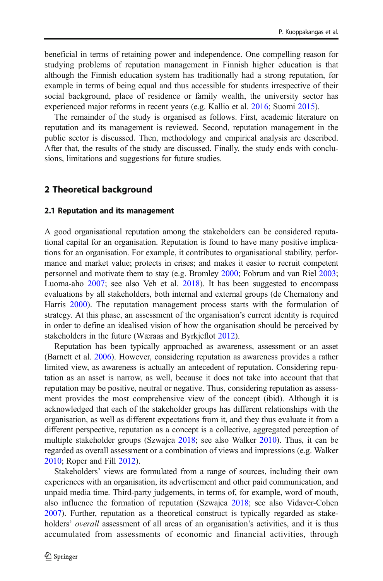beneficial in terms of retaining power and independence. One compelling reason for studying problems of reputation management in Finnish higher education is that although the Finnish education system has traditionally had a strong reputation, for example in terms of being equal and thus accessible for students irrespective of their social background, place of residence or family wealth, the university sector has experienced major reforms in recent years (e.g. Kallio et al. [2016;](#page-22-0) Suomi [2015](#page-23-0)).

The remainder of the study is organised as follows. First, academic literature on reputation and its management is reviewed. Second, reputation management in the public sector is discussed. Then, methodology and empirical analysis are described. After that, the results of the study are discussed. Finally, the study ends with conclusions, limitations and suggestions for future studies.

# 2 Theoretical background

#### 2.1 Reputation and its management

A good organisational reputation among the stakeholders can be considered reputational capital for an organisation. Reputation is found to have many positive implications for an organisation. For example, it contributes to organisational stability, performance and market value; protects in crises; and makes it easier to recruit competent personnel and motivate them to stay (e.g. Bromley [2000](#page-21-0); Fobrum and van Riel [2003;](#page-21-0) Luoma-aho [2007](#page-22-0); see also Veh et al. [2018](#page-23-0)). It has been suggested to encompass evaluations by all stakeholders, both internal and external groups (de Chernatony and Harris [2000](#page-21-0)). The reputation management process starts with the formulation of strategy. At this phase, an assessment of the organisation's current identity is required in order to define an idealised vision of how the organisation should be perceived by stakeholders in the future (Wæraas and Byrkjeflot [2012\)](#page-23-0).

Reputation has been typically approached as awareness, assessment or an asset (Barnett et al. [2006\)](#page-21-0). However, considering reputation as awareness provides a rather limited view, as awareness is actually an antecedent of reputation. Considering reputation as an asset is narrow, as well, because it does not take into account that that reputation may be positive, neutral or negative. Thus, considering reputation as assessment provides the most comprehensive view of the concept (ibid). Although it is acknowledged that each of the stakeholder groups has different relationships with the organisation, as well as different expectations from it, and they thus evaluate it from a different perspective, reputation as a concept is a collective, aggregated perception of multiple stakeholder groups (Szwajca [2018](#page-23-0); see also Walker [2010](#page-23-0)). Thus, it can be regarded as overall assessment or a combination of views and impressions (e.g. Walker [2010;](#page-23-0) Roper and Fill [2012\)](#page-23-0).

Stakeholders' views are formulated from a range of sources, including their own experiences with an organisation, its advertisement and other paid communication, and unpaid media time. Third-party judgements, in terms of, for example, word of mouth, also influence the formation of reputation (Szwajca [2018](#page-23-0); see also Vidaver-Cohen [2007\)](#page-23-0). Further, reputation as a theoretical construct is typically regarded as stakeholders' *overall* assessment of all areas of an organisation's activities, and it is thus accumulated from assessments of economic and financial activities, through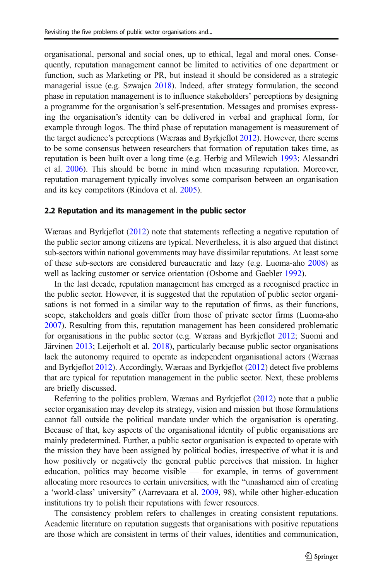organisational, personal and social ones, up to ethical, legal and moral ones. Consequently, reputation management cannot be limited to activities of one department or function, such as Marketing or PR, but instead it should be considered as a strategic managerial issue (e.g. Szwajca [2018\)](#page-23-0). Indeed, after strategy formulation, the second phase in reputation management is to influence stakeholders' perceptions by designing a programme for the organisation's self-presentation. Messages and promises expressing the organisation's identity can be delivered in verbal and graphical form, for example through logos. The third phase of reputation management is measurement of the target audience's perceptions (Wæraas and Byrkjeflot [2012\)](#page-23-0). However, there seems to be some consensus between researchers that formation of reputation takes time, as reputation is been built over a long time (e.g. Herbig and Milewich [1993](#page-22-0); Alessandri et al. [2006](#page-21-0)). This should be borne in mind when measuring reputation. Moreover, reputation management typically involves some comparison between an organisation and its key competitors (Rindova et al. [2005](#page-23-0)).

#### 2.2 Reputation and its management in the public sector

Wæraas and Byrkjeflot [\(2012\)](#page-23-0) note that statements reflecting a negative reputation of the public sector among citizens are typical. Nevertheless, it is also argued that distinct sub-sectors within national governments may have dissimilar reputations. At least some of these sub-sectors are considered bureaucratic and lazy (e.g. Luoma-aho [2008](#page-22-0)) as well as lacking customer or service orientation (Osborne and Gaebler [1992](#page-22-0)).

In the last decade, reputation management has emerged as a recognised practice in the public sector. However, it is suggested that the reputation of public sector organisations is not formed in a similar way to the reputation of firms, as their functions, scope, stakeholders and goals differ from those of private sector firms (Luoma-aho [2007\)](#page-22-0). Resulting from this, reputation management has been considered problematic for organisations in the public sector (e.g. Wæraas and Byrkjeflot [2012;](#page-23-0) Suomi and Järvinen [2013](#page-23-0); Leijerholt et al. [2018\)](#page-22-0), particularly because public sector organisations lack the autonomy required to operate as independent organisational actors (Wæraas and Byrkjeflot [2012\)](#page-23-0). Accordingly, Wæraas and Byrkjeflot ([2012](#page-23-0)) detect five problems that are typical for reputation management in the public sector. Next, these problems are briefly discussed.

Referring to the politics problem, Wæraas and Byrkjeflot ([2012](#page-23-0)) note that a public sector organisation may develop its strategy, vision and mission but those formulations cannot fall outside the political mandate under which the organisation is operating. Because of that, key aspects of the organisational identity of public organisations are mainly predetermined. Further, a public sector organisation is expected to operate with the mission they have been assigned by political bodies, irrespective of what it is and how positively or negatively the general public perceives that mission. In higher education, politics may become visible — for example, in terms of government allocating more resources to certain universities, with the "unashamed aim of creating a 'world-class' university" (Aarrevaara et al. [2009,](#page-21-0) 98), while other higher-education institutions try to polish their reputations with fewer resources.

The consistency problem refers to challenges in creating consistent reputations. Academic literature on reputation suggests that organisations with positive reputations are those which are consistent in terms of their values, identities and communication,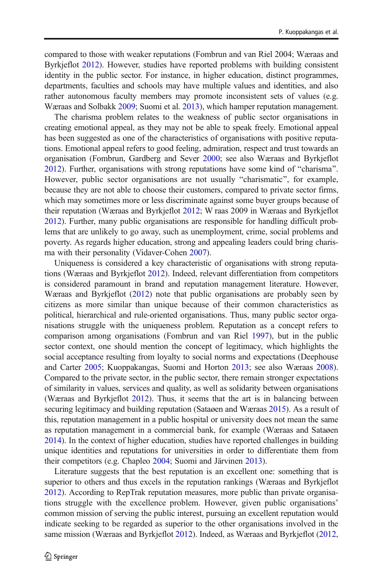compared to those with weaker reputations (Fombrun and van Riel 2004; Wæraas and Byrkjeflot [2012\)](#page-23-0). However, studies have reported problems with building consistent identity in the public sector. For instance, in higher education, distinct programmes, departments, faculties and schools may have multiple values and identities, and also rather autonomous faculty members may promote inconsistent sets of values (e.g. Wæraas and Solbakk [2009](#page-23-0); Suomi et al. [2013\)](#page-23-0), which hamper reputation management.

The charisma problem relates to the weakness of public sector organisations in creating emotional appeal, as they may not be able to speak freely. Emotional appeal has been suggested as one of the characteristics of organisations with positive reputations. Emotional appeal refers to good feeling, admiration, respect and trust towards an organisation (Fombrun, Gardberg and Sever [2000](#page-21-0); see also Wæraas and Byrkjeflot  $2012$ ). Further, organisations with strong reputations have some kind of "charisma". However, public sector organisations are not usually "charismatic", for example, because they are not able to choose their customers, compared to private sector firms, which may sometimes more or less discriminate against some buyer groups because of their reputation (Wæraas and Byrkjeflot [2012](#page-23-0); W raas 2009 in Wæraas and Byrkjeflot [2012\)](#page-23-0). Further, many public organisations are responsible for handling difficult problems that are unlikely to go away, such as unemployment, crime, social problems and poverty. As regards higher education, strong and appealing leaders could bring charisma with their personality (Vidaver-Cohen [2007](#page-23-0)).

Uniqueness is considered a key characteristic of organisations with strong reputations (Wæraas and Byrkjeflot [2012](#page-23-0)). Indeed, relevant differentiation from competitors is considered paramount in brand and reputation management literature. However, Wæraas and Byrkjeflot ([2012](#page-23-0)) note that public organisations are probably seen by citizens as more similar than unique because of their common characteristics as political, hierarchical and rule-oriented organisations. Thus, many public sector organisations struggle with the uniqueness problem. Reputation as a concept refers to comparison among organisations (Fombrun and van Riel [1997\)](#page-21-0), but in the public sector context, one should mention the concept of legitimacy, which highlights the social acceptance resulting from loyalty to social norms and expectations (Deephouse and Carter [2005;](#page-21-0) Kuoppakangas, Suomi and Horton [2013;](#page-22-0) see also Wæraas [2008\)](#page-23-0). Compared to the private sector, in the public sector, there remain stronger expectations of similarity in values, services and quality, as well as solidarity between organisations (Wæraas and Byrkjeflot [2012\)](#page-23-0). Thus, it seems that the art is in balancing between securing legitimacy and building reputation (Sataøen and Wæraas [2015](#page-23-0)). As a result of this, reputation management in a public hospital or university does not mean the same as reputation management in a commercial bank, for example (Wæraas and Sataøen [2014\)](#page-23-0). In the context of higher education, studies have reported challenges in building unique identities and reputations for universities in order to differentiate them from their competitors (e.g. Chapleo [2004;](#page-21-0) Suomi and Järvinen [2013](#page-23-0)).

Literature suggests that the best reputation is an excellent one: something that is superior to others and thus excels in the reputation rankings (Wæraas and Byrkjeflot [2012\)](#page-23-0). According to RepTrak reputation measures, more public than private organisations struggle with the excellence problem. However, given public organisations' common mission of serving the public interest, pursuing an excellent reputation would indicate seeking to be regarded as superior to the other organisations involved in the same mission (Wæraas and Byrkjeflot [2012](#page-23-0)). Indeed, as Wæraas and Byrkjeflot [\(2012,](#page-23-0)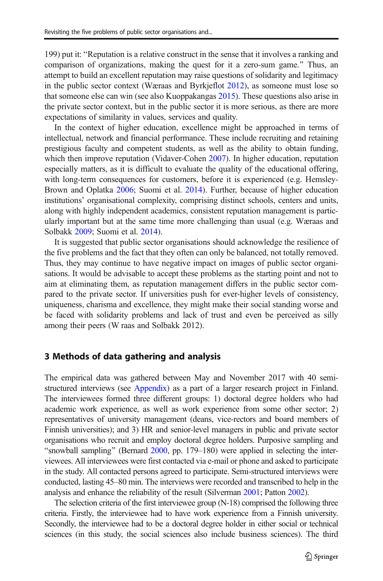199) put it: "Reputation is a relative construct in the sense that it involves a ranking and comparison of organizations, making the quest for it a zero-sum game.^ Thus, an attempt to build an excellent reputation may raise questions of solidarity and legitimacy in the public sector context (Wæraas and Byrkjeflot [2012](#page-23-0)), as someone must lose so that someone else can win (see also Kuoppakangas [2015](#page-22-0)). These questions also arise in the private sector context, but in the public sector it is more serious, as there are more expectations of similarity in values, services and quality.

In the context of higher education, excellence might be approached in terms of intellectual, network and financial performance. These include recruiting and retaining prestigious faculty and competent students, as well as the ability to obtain funding, which then improve reputation (Vidaver-Cohen [2007](#page-23-0)). In higher education, reputation especially matters, as it is difficult to evaluate the quality of the educational offering, with long-term consequences for customers, before it is experienced (e.g. Hemsley-Brown and Oplatka [2006](#page-22-0); Suomi et al. [2014](#page-23-0)). Further, because of higher education institutions' organisational complexity, comprising distinct schools, centers and units, along with highly independent academics, consistent reputation management is particularly important but at the same time more challenging than usual (e.g. Wæraas and Solbakk [2009](#page-23-0); Suomi et al. [2014](#page-23-0)).

It is suggested that public sector organisations should acknowledge the resilience of the five problems and the fact that they often can only be balanced, not totally removed. Thus, they may continue to have negative impact on images of public sector organisations. It would be advisable to accept these problems as the starting point and not to aim at eliminating them, as reputation management differs in the public sector compared to the private sector. If universities push for ever-higher levels of consistency, uniqueness, charisma and excellence, they might make their social standing worse and be faced with solidarity problems and lack of trust and even be perceived as silly among their peers (W raas and Solbakk 2012).

#### 3 Methods of data gathering and analysis

The empirical data was gathered between May and November 2017 with 40 semi-structured interviews (see [Appendix\)](#page-20-0) as a part of a larger research project in Finland. The interviewees formed three different groups: 1) doctoral degree holders who had academic work experience, as well as work experience from some other sector; 2) representatives of university management (deans, vice-rectors and board members of Finnish universities); and 3) HR and senior-level managers in public and private sector organisations who recruit and employ doctoral degree holders. Purposive sampling and "snowball sampling" (Bernard  $2000$ , pp. 179–180) were applied in selecting the interviewees. All interviewees were first contacted via e-mail or phone and asked to participate in the study. All contacted persons agreed to participate. Semi-structured interviews were conducted, lasting 45–80 min. The interviews were recorded and transcribed to help in the analysis and enhance the reliability of the result (Silverman [2001;](#page-23-0) Patton [2002\)](#page-22-0).

The selection criteria of the first interviewee group (N-18) comprised the following three criteria. Firstly, the interviewee had to have work experience from a Finnish university. Secondly, the interviewee had to be a doctoral degree holder in either social or technical sciences (in this study, the social sciences also include business sciences). The third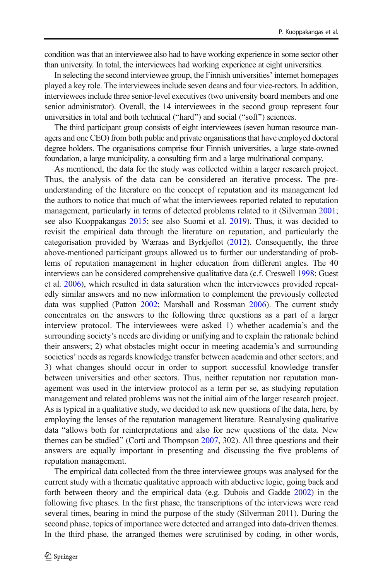condition was that an interviewee also had to have working experience in some sector other than university. In total, the interviewees had working experience at eight universities.

In selecting the second interviewee group, the Finnish universities' internet homepages played a key role. The interviewees include seven deans and four vice-rectors. In addition, interviewees include three senior-level executives (two university board members and one senior administrator). Overall, the 14 interviewees in the second group represent four universities in total and both technical ("hard") and social ("soft") sciences.

The third participant group consists of eight interviewees (seven human resource managers and one CEO) from both public and private organisations that have employed doctoral degree holders. The organisations comprise four Finnish universities, a large state-owned foundation, a large municipality, a consulting firm and a large multinational company.

As mentioned, the data for the study was collected within a larger research project. Thus, the analysis of the data can be considered an iterative process. The preunderstanding of the literature on the concept of reputation and its management led the authors to notice that much of what the interviewees reported related to reputation management, particularly in terms of detected problems related to it (Silverman [2001;](#page-23-0) see also Kuoppakangas [2015](#page-22-0); see also Suomi et al. [2019](#page-23-0)). Thus, it was decided to revisit the empirical data through the literature on reputation, and particularly the categorisation provided by Wæraas and Byrkjeflot ([2012](#page-23-0)). Consequently, the three above-mentioned participant groups allowed us to further our understanding of problems of reputation management in higher education from different angles. The 40 interviews can be considered comprehensive qualitative data (c.f. Creswell [1998;](#page-21-0) Guest et al. [2006](#page-21-0)), which resulted in data saturation when the interviewees provided repeatedly similar answers and no new information to complement the previously collected data was supplied (Patton [2002;](#page-22-0) Marshall and Rossman [2006\)](#page-22-0). The current study concentrates on the answers to the following three questions as a part of a larger interview protocol. The interviewees were asked 1) whether academia's and the surrounding society's needs are dividing or unifying and to explain the rationale behind their answers; 2) what obstacles might occur in meeting academia's and surrounding societies' needs as regards knowledge transfer between academia and other sectors; and 3) what changes should occur in order to support successful knowledge transfer between universities and other sectors. Thus, neither reputation nor reputation management was used in the interview protocol as a term per se, as studying reputation management and related problems was not the initial aim of the larger research project. As is typical in a qualitative study, we decided to ask new questions of the data, here, by employing the lenses of the reputation management literature. Reanalysing qualitative data "allows both for reinterpretations and also for new questions of the data. New themes can be studied" (Corti and Thompson  $2007$ , 302). All three questions and their answers are equally important in presenting and discussing the five problems of reputation management.

The empirical data collected from the three interviewee groups was analysed for the current study with a thematic qualitative approach with abductive logic, going back and forth between theory and the empirical data (e.g. Dubois and Gadde [2002](#page-21-0)) in the following five phases. In the first phase, the transcriptions of the interviews were read several times, bearing in mind the purpose of the study (Silverman 2011). During the second phase, topics of importance were detected and arranged into data-driven themes. In the third phase, the arranged themes were scrutinised by coding, in other words,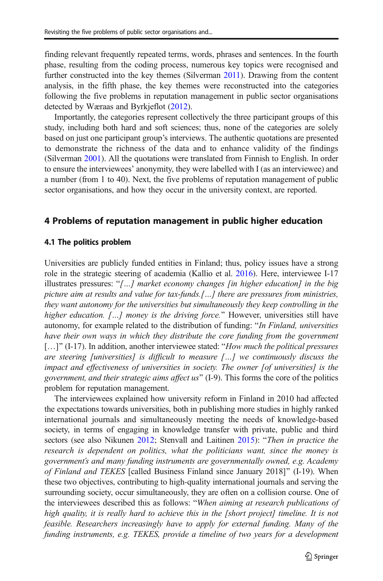finding relevant frequently repeated terms, words, phrases and sentences. In the fourth phase, resulting from the coding process, numerous key topics were recognised and further constructed into the key themes (Silverman [2011\)](#page-23-0). Drawing from the content analysis, in the fifth phase, the key themes were reconstructed into the categories following the five problems in reputation management in public sector organisations detected by Wæraas and Byrkjeflot ([2012](#page-23-0)).

Importantly, the categories represent collectively the three participant groups of this study, including both hard and soft sciences; thus, none of the categories are solely based on just one participant group's interviews. The authentic quotations are presented to demonstrate the richness of the data and to enhance validity of the findings (Silverman [2001](#page-23-0)). All the quotations were translated from Finnish to English. In order to ensure the interviewees' anonymity, they were labelled with I (as an interviewee) and a number (from 1 to 40). Next, the five problems of reputation management of public sector organisations, and how they occur in the university context, are reported.

#### 4 Problems of reputation management in public higher education

#### 4.1 The politics problem

Universities are publicly funded entities in Finland; thus, policy issues have a strong role in the strategic steering of academia (Kallio et al. [2016](#page-22-0)). Here, interviewee I-17 illustrates pressures: "[...] market economy changes [in higher education] in the big picture aim at results and value for tax-funds.[…] there are pressures from ministries, they want autonomy for the universities but simultaneously they keep controlling in the higher education.  $[\dots]$  money is the driving force." However, universities still have autonomy, for example related to the distribution of funding: "In Finland, universities have their own ways in which they distribute the core funding from the government  $\left[ \ldots \right]$ " (I-17). In addition, another interviewee stated: "How much the political pressures are steering [universities] is difficult to measure […] we continuously discuss the impact and effectiveness of universities in society. The owner [of universities] is the government, and their strategic aims affect us^ (I-9). This forms the core of the politics problem for reputation management.

The interviewees explained how university reform in Finland in 2010 had affected the expectations towards universities, both in publishing more studies in highly ranked international journals and simultaneously meeting the needs of knowledge-based society, in terms of engaging in knowledge transfer with private, public and third sectors (see also Nikunen [2012](#page-22-0); Stenvall and Laitinen [2015](#page-23-0)): "Then in practice the research is dependent on politics, what the politicians want, since the money is government's and many funding instruments are governmentally owned, e.g. Academy of Finland and TEKES [called Business Finland since January 2018]^ (I-19). When these two objectives, contributing to high-quality international journals and serving the surrounding society, occur simultaneously, they are often on a collision course. One of the interviewees described this as follows: "When aiming at research publications of high quality, it is really hard to achieve this in the [short project] timeline. It is not feasible. Researchers increasingly have to apply for external funding. Many of the funding instruments, e.g. TEKES, provide a timeline of two years for a development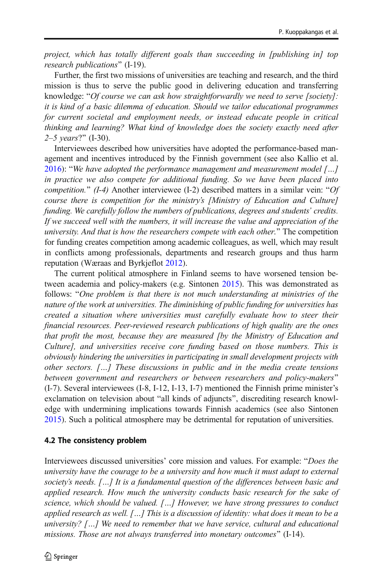project, which has totally different goals than succeeding in [publishing in] top research publications" (I-19).

Further, the first two missions of universities are teaching and research, and the third mission is thus to serve the public good in delivering education and transferring knowledge: "Of course we can ask how straightforwardly we need to serve [society]: it is kind of a basic dilemma of education. Should we tailor educational programmes for current societal and employment needs, or instead educate people in critical thinking and learning? What kind of knowledge does the society exactly need after  $2-5$  years?" (I-30).

Interviewees described how universities have adopted the performance-based management and incentives introduced by the Finnish government (see also Kallio et al. [2016\)](#page-22-0): "We have adopted the performance management and measurement model  $[...]$ in practice we also compete for additional funding. So we have been placed into competition." (I-4) Another interviewee (I-2) described matters in a similar vein: " $Of$ course there is competition for the ministry's [Ministry of Education and Culture] funding. We carefully follow the numbers of publications, degrees and students' credits. If we succeed well with the numbers, it will increase the value and appreciation of the university. And that is how the researchers compete with each other." The competition for funding creates competition among academic colleagues, as well, which may result in conflicts among professionals, departments and research groups and thus harm reputation (Wæraas and Byrkjeflot [2012\)](#page-23-0).

The current political atmosphere in Finland seems to have worsened tension between academia and policy-makers (e.g. Sintonen [2015\)](#page-23-0). This was demonstrated as follows: "One problem is that there is not much understanding at ministries of the nature of the work at universities. The diminishing of public funding for universities has created a situation where universities must carefully evaluate how to steer their financial resources. Peer-reviewed research publications of high quality are the ones that profit the most, because they are measured [by the Ministry of Education and Culture], and universities receive core funding based on those numbers. This is obviously hindering the universities in participating in small development projects with other sectors. […] These discussions in public and in the media create tensions between government and researchers or between researchers and policy-makers" (I-7). Several interviewees (I-8, I-12, I-13, I-7) mentioned the Finnish prime minister's exclamation on television about "all kinds of adjuncts", discrediting research knowledge with undermining implications towards Finnish academics (see also Sintonen [2015\)](#page-23-0). Such a political atmosphere may be detrimental for reputation of universities.

# 4.2 The consistency problem

Interviewees discussed universities' core mission and values. For example: "Does the university have the courage to be a university and how much it must adapt to external society's needs. […] It is a fundamental question of the differences between basic and applied research. How much the university conducts basic research for the sake of science, which should be valued. [...] However, we have strong pressures to conduct applied research as well. […] This is a discussion of identity: what does it mean to be a university? […] We need to remember that we have service, cultural and educational missions. Those are not always transferred into monetary outcomes" (I-14).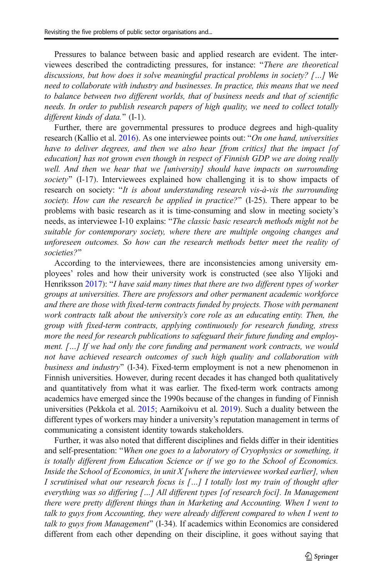Pressures to balance between basic and applied research are evident. The interviewees described the contradicting pressures, for instance: "There are theoretical discussions, but how does it solve meaningful practical problems in society? […] We need to collaborate with industry and businesses. In practice, this means that we need to balance between two different worlds, that of business needs and that of scientific needs. In order to publish research papers of high quality, we need to collect totally different kinds of data."  $(I-1)$ .

Further, there are governmental pressures to produce degrees and high-quality research (Kallio et al. [2016\)](#page-22-0). As one interviewee points out: "On one hand, universities have to deliver degrees, and then we also hear [from critics] that the impact [of education] has not grown even though in respect of Finnish GDP we are doing really well. And then we hear that we [university] should have impacts on surrounding society"  $(I-17)$ . Interviewees explained how challenging it is to show impacts of research on society: "It is about understanding research vis-à-vis the surrounding society. How can the research be applied in practice?"  $(I-25)$ . There appear to be problems with basic research as it is time-consuming and slow in meeting society's needs, as interviewee I-10 explains: "The classic basic research methods might not be suitable for contemporary society, where there are multiple ongoing changes and unforeseen outcomes. So how can the research methods better meet the reality of societies?"

According to the interviewees, there are inconsistencies among university employees' roles and how their university work is constructed (see also Ylijoki and Henriksson [2017](#page-24-0)): "I have said many times that there are two different types of worker groups at universities. There are professors and other permanent academic workforce and there are those with fixed-term contracts funded by projects. Those with permanent work contracts talk about the university's core role as an educating entity. Then, the group with fixed-term contracts, applying continuously for research funding, stress more the need for research publications to safeguard their future funding and employment. […] If we had only the core funding and permanent work contracts, we would not have achieved research outcomes of such high quality and collaboration with business and industry"  $(I-34)$ . Fixed-term employment is not a new phenomenon in Finnish universities. However, during recent decades it has changed both qualitatively and quantitatively from what it was earlier. The fixed-term work contracts among academics have emerged since the 1990s because of the changes in funding of Finnish universities (Pekkola et al. [2015;](#page-22-0) Aarnikoivu et al. [2019\)](#page-21-0). Such a duality between the different types of workers may hinder a university's reputation management in terms of communicating a consistent identity towards stakeholders.

Further, it was also noted that different disciplines and fields differ in their identities and self-presentation: "When one goes to a laboratory of Cryophysics or something, it is totally different from Education Science or if we go to the School of Economics. Inside the School of Economics, in unit  $X$  [where the interviewee worked earlier], when I scrutinised what our research focus is […] I totally lost my train of thought after everything was so differing […] All different types [of research foci]. In Management there were pretty different things than in Marketing and Accounting. When I went to talk to guys from Accounting, they were already different compared to when I went to talk to guys from Management" (I-34). If academics within Economics are considered different from each other depending on their discipline, it goes without saying that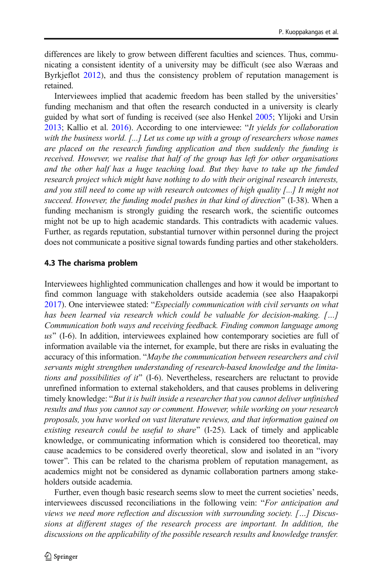differences are likely to grow between different faculties and sciences. Thus, communicating a consistent identity of a university may be difficult (see also Wæraas and Byrkjeflot [2012\)](#page-23-0), and thus the consistency problem of reputation management is retained.

Interviewees implied that academic freedom has been stalled by the universities' funding mechanism and that often the research conducted in a university is clearly guided by what sort of funding is received (see also Henkel [2005;](#page-22-0) Ylijoki and Ursin  $2013$ ; Kallio et al.  $2016$ ). According to one interviewee: "It yields for collaboration with the business world. [...] Let us come up with a group of researchers whose names are placed on the research funding application and then suddenly the funding is received. However, we realise that half of the group has left for other organisations and the other half has a huge teaching load. But they have to take up the funded research project which might have nothing to do with their original research interests, and you still need to come up with research outcomes of high quality [...] It might not succeed. However, the funding model pushes in that kind of direction"  $(I-38)$ . When a funding mechanism is strongly guiding the research work, the scientific outcomes might not be up to high academic standards. This contradicts with academic values. Further, as regards reputation, substantial turnover within personnel during the project does not communicate a positive signal towards funding parties and other stakeholders.

#### 4.3 The charisma problem

Interviewees highlighted communication challenges and how it would be important to find common language with stakeholders outside academia (see also Haapakorpi [2017\)](#page-22-0). One interviewee stated: "Especially communication with civil servants on what has been learned via research which could be valuable for decision-making. […] Communication both ways and receiving feedback. Finding common language among  $us$ " (I-6). In addition, interviewees explained how contemporary societies are full of information available via the internet, for example, but there are risks in evaluating the accuracy of this information. "Maybe the communication between researchers and civil servants might strengthen understanding of research-based knowledge and the limitations and possibilities of it"  $(I-6)$ . Nevertheless, researchers are reluctant to provide unrefined information to external stakeholders, and that causes problems in delivering timely knowledge: "But it is built inside a researcher that you cannot deliver unfinished results and thus you cannot say or comment. However, while working on your research proposals, you have worked on vast literature reviews, and that information gained on existing research could be useful to share" (I-25). Lack of timely and applicable knowledge, or communicating information which is considered too theoretical, may cause academics to be considered overly theoretical, slow and isolated in an "ivory" tower". This can be related to the charisma problem of reputation management, as academics might not be considered as dynamic collaboration partners among stakeholders outside academia.

Further, even though basic research seems slow to meet the current societies' needs, interviewees discussed reconciliations in the following vein: "For anticipation and views we need more reflection and discussion with surrounding society. […] Discussions at different stages of the research process are important. In addition, the discussions on the applicability of the possible research results and knowledge transfer.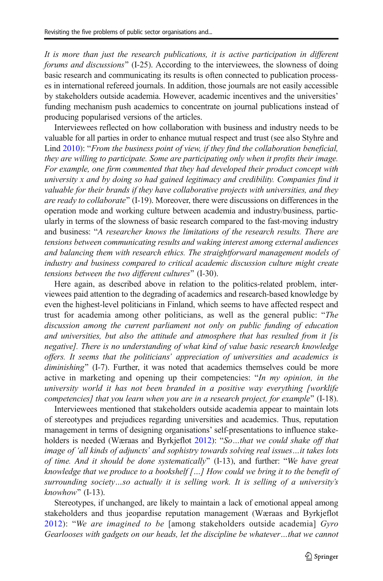It is more than just the research publications, it is active participation in different forums and discussions^ (I-25). According to the interviewees, the slowness of doing basic research and communicating its results is often connected to publication processes in international refereed journals. In addition, those journals are not easily accessible by stakeholders outside academia. However, academic incentives and the universities' funding mechanism push academics to concentrate on journal publications instead of producing popularised versions of the articles.

Interviewees reflected on how collaboration with business and industry needs to be valuable for all parties in order to enhance mutual respect and trust (see also Styhre and Lind  $2010$ : "From the business point of view, if they find the collaboration beneficial, they are willing to participate. Some are participating only when it profits their image. For example, one firm commented that they had developed their product concept with university x and by doing so had gained legitimacy and credibility. Companies find it valuable for their brands if they have collaborative projects with universities, and they are ready to collaborate"  $(I-19)$ . Moreover, there were discussions on differences in the operation mode and working culture between academia and industry/business, particularly in terms of the slowness of basic research compared to the fast-moving industry and business: "A researcher knows the limitations of the research results. There are tensions between communicating results and waking interest among external audiences and balancing them with research ethics. The straightforward management models of industry and business compared to critical academic discussion culture might create tensions between the two different cultures" (I-30).

Here again, as described above in relation to the politics-related problem, interviewees paid attention to the degrading of academics and research-based knowledge by even the highest-level politicians in Finland, which seems to have affected respect and trust for academia among other politicians, as well as the general public: "The discussion among the current parliament not only on public funding of education and universities, but also the attitude and atmosphere that has resulted from it [is negative]. There is no understanding of what kind of value basic research knowledge offers. It seems that the politicians' appreciation of universities and academics is diminishing" (I-7). Further, it was noted that academics themselves could be more active in marketing and opening up their competencies: "In my opinion, in the university world it has not been branded in a positive way everything [worklife competencies] that you learn when you are in a research project, for example" (I-18).

Interviewees mentioned that stakeholders outside academia appear to maintain lots of stereotypes and prejudices regarding universities and academics. Thus, reputation management in terms of designing organisations' self-presentations to influence stake-holders is needed (Wæraas and Byrkjeflot [2012\)](#page-23-0): "So...that we could shake off that image of 'all kinds of adjuncts' and sophistry towards solving real issues…it takes lots of time. And it should be done systematically"  $(I-13)$ , and further: "We have great knowledge that we produce to a bookshelf […] How could we bring it to the benefit of surrounding society…so actually it is selling work. It is selling of a university's  $known$ " (I-13).

Stereotypes, if unchanged, are likely to maintain a lack of emotional appeal among stakeholders and thus jeopardise reputation management (Wæraas and Byrkjeflot [2012\)](#page-23-0): "We are imagined to be [among stakeholders outside academia]  $Gyro$ Gearlooses with gadgets on our heads, let the discipline be whatever…that we cannot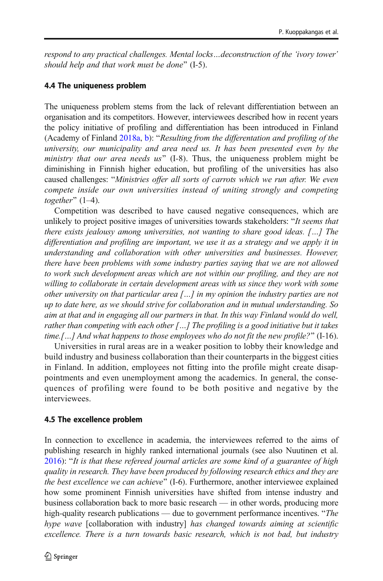respond to any practical challenges. Mental locks…deconstruction of the 'ivory tower' should help and that work must be done"  $(I-5)$ .

# 4.4 The uniqueness problem

The uniqueness problem stems from the lack of relevant differentiation between an organisation and its competitors. However, interviewees described how in recent years the policy initiative of profiling and differentiation has been introduced in Finland (Academy of Finland  $2018a$ , [b\)](#page-21-0): "Resulting from the differentation and profiling of the university, our municipality and area need us. It has been presented even by the ministry that our area needs  $us^{\prime\prime}$  (I-8). Thus, the uniqueness problem might be diminishing in Finnish higher education, but profiling of the universities has also caused challenges: "Ministries offer all sorts of carrots which we run after. We even compete inside our own universities instead of uniting strongly and competing together"  $(1-4)$ .

Competition was described to have caused negative consequences, which are unlikely to project positive images of universities towards stakeholders: "It seems that there exists jealousy among universities, not wanting to share good ideas. […] The differentiation and profiling are important, we use it as a strategy and we apply it in understanding and collaboration with other universities and businesses. However, there have been problems with some industry parties saying that we are not allowed to work such development areas which are not within our profiling, and they are not willing to collaborate in certain development areas with us since they work with some other university on that particular area  $\lceil \ldots \rceil$  in my opinion the industry parties are not up to date here, as we should strive for collaboration and in mutual understanding. So aim at that and in engaging all our partners in that. In this way Finland would do well, rather than competing with each other  $[...]$  The profiling is a good initiative but it takes time.[...] And what happens to those employees who do not fit the new profile?" (I-16).

Universities in rural areas are in a weaker position to lobby their knowledge and build industry and business collaboration than their counterparts in the biggest cities in Finland. In addition, employees not fitting into the profile might create disappointments and even unemployment among the academics. In general, the consequences of profiling were found to be both positive and negative by the interviewees.

# 4.5 The excellence problem

In connection to excellence in academia, the interviewees referred to the aims of publishing research in highly ranked international journals (see also Nuutinen et al.  $2016$ : "It is that these refereed journal articles are some kind of a guarantee of high quality in research. They have been produced by following research ethics and they are the best excellence we can achieve"  $(I-6)$ . Furthermore, another interviewee explained how some prominent Finnish universities have shifted from intense industry and business collaboration back to more basic research — in other words, producing more high-quality research publications — due to government performance incentives. "The hype wave [collaboration with industry] has changed towards aiming at scientific excellence. There is a turn towards basic research, which is not bad, but industry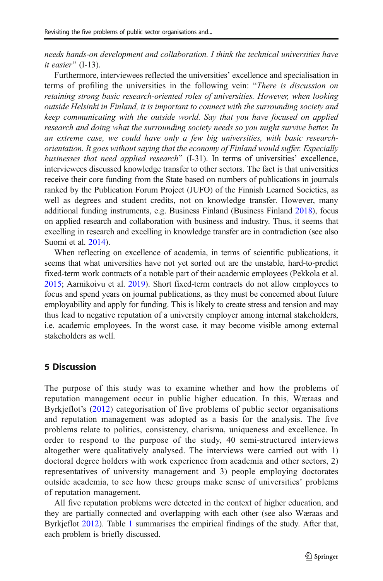needs hands-on development and collaboration. I think the technical universities have it easier"  $(I-13)$ .

Furthermore, interviewees reflected the universities' excellence and specialisation in terms of profiling the universities in the following vein: "There is discussion on retaining strong basic research-oriented roles of universities. However, when looking outside Helsinki in Finland, it is important to connect with the surrounding society and keep communicating with the outside world. Say that you have focused on applied research and doing what the surrounding society needs so you might survive better. In an extreme case, we could have only a few big universities, with basic researchorientation. It goes without saying that the economy of Finland would suffer. Especially businesses that need applied research" (I-31). In terms of universities' excellence, interviewees discussed knowledge transfer to other sectors. The fact is that universities receive their core funding from the State based on numbers of publications in journals ranked by the Publication Forum Project (JUFO) of the Finnish Learned Societies, as well as degrees and student credits, not on knowledge transfer. However, many additional funding instruments, e.g. Business Finland (Business Finland [2018](#page-21-0)), focus on applied research and collaboration with business and industry. Thus, it seems that excelling in research and excelling in knowledge transfer are in contradiction (see also Suomi et al. [2014](#page-23-0)).

When reflecting on excellence of academia, in terms of scientific publications, it seems that what universities have not yet sorted out are the unstable, hard-to-predict fixed-term work contracts of a notable part of their academic employees (Pekkola et al. [2015;](#page-22-0) Aarnikoivu et al. [2019\)](#page-21-0). Short fixed-term contracts do not allow employees to focus and spend years on journal publications, as they must be concerned about future employability and apply for funding. This is likely to create stress and tension and may thus lead to negative reputation of a university employer among internal stakeholders, i.e. academic employees. In the worst case, it may become visible among external stakeholders as well.

### 5 Discussion

The purpose of this study was to examine whether and how the problems of reputation management occur in public higher education. In this, Wæraas and Byrkjeflot's [\(2012\)](#page-23-0) categorisation of five problems of public sector organisations and reputation management was adopted as a basis for the analysis. The five problems relate to politics, consistency, charisma, uniqueness and excellence. In order to respond to the purpose of the study, 40 semi-structured interviews altogether were qualitatively analysed. The interviews were carried out with 1) doctoral degree holders with work experience from academia and other sectors, 2) representatives of university management and 3) people employing doctorates outside academia, to see how these groups make sense of universities' problems of reputation management.

All five reputation problems were detected in the context of higher education, and they are partially connected and overlapping with each other (see also Wæraas and Byrkjeflot [2012\)](#page-23-0). Table [1](#page-15-0) summarises the empirical findings of the study. After that, each problem is briefly discussed.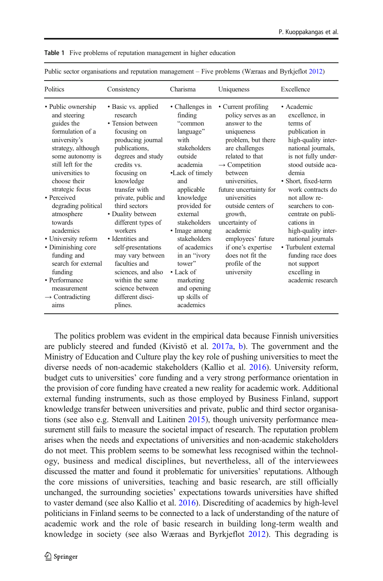| Public sector organisations and reputation management – Five problems (wariaas and BytKenot 2012)                                                                                                                                                                                                                                                                                                                                                           |                                                                                                                                                                                                                                                                                                                                                                                                                                                                    |                                                                                                                                                                                                                                                                                                                                                     |                                                                                                                                                                                                                                                                                                                                                                                                              |                                                                                                                                                                                                                                                                                                                                                                                                                                  |  |  |  |  |  |  |
|-------------------------------------------------------------------------------------------------------------------------------------------------------------------------------------------------------------------------------------------------------------------------------------------------------------------------------------------------------------------------------------------------------------------------------------------------------------|--------------------------------------------------------------------------------------------------------------------------------------------------------------------------------------------------------------------------------------------------------------------------------------------------------------------------------------------------------------------------------------------------------------------------------------------------------------------|-----------------------------------------------------------------------------------------------------------------------------------------------------------------------------------------------------------------------------------------------------------------------------------------------------------------------------------------------------|--------------------------------------------------------------------------------------------------------------------------------------------------------------------------------------------------------------------------------------------------------------------------------------------------------------------------------------------------------------------------------------------------------------|----------------------------------------------------------------------------------------------------------------------------------------------------------------------------------------------------------------------------------------------------------------------------------------------------------------------------------------------------------------------------------------------------------------------------------|--|--|--|--|--|--|
| Politics                                                                                                                                                                                                                                                                                                                                                                                                                                                    | Consistency                                                                                                                                                                                                                                                                                                                                                                                                                                                        | Charisma                                                                                                                                                                                                                                                                                                                                            | Uniqueness                                                                                                                                                                                                                                                                                                                                                                                                   | Excellence                                                                                                                                                                                                                                                                                                                                                                                                                       |  |  |  |  |  |  |
| • Public ownership<br>and steering<br>guides the<br>formulation of a<br>university's<br>strategy, although<br>some autonomy is<br>still left for the<br>universities to<br>choose their<br>strategic focus<br>• Perceived<br>degrading political<br>atmosphere<br>towards<br>academics<br>• University reform<br>• Diminishing core<br>funding and<br>search for external<br>funding<br>• Performance<br>measurement<br>$\rightarrow$ Contradicting<br>aims | • Basic vs. applied<br>research<br>• Tension between<br>focusing on<br>producing journal<br>publications,<br>degrees and study<br>credits vs.<br>focusing on<br>knowledge<br>transfer with<br>private, public and<br>third sectors<br>• Duality between<br>different types of<br>workers<br>• Identities and<br>self-presentations<br>may vary between<br>faculties and<br>sciences, and also<br>within the same<br>science between<br>different disci-<br>plines. | • Challenges in<br>finding<br>"common<br>language"<br>with<br>stakeholders<br>outside<br>academia<br>•Lack of timely<br>and<br>applicable<br>knowledge<br>provided for<br>external<br>stakeholders<br>• Image among<br>stakeholders<br>of academics<br>in an "ivory<br>tower"<br>• Lack of<br>marketing<br>and opening<br>up skills of<br>academics | • Current profiling<br>policy serves as an<br>answer to the<br>uniqueness<br>problem, but there<br>are challenges<br>related to that<br>$\rightarrow$ Competition<br><b>between</b><br>universities,<br>future uncertainty for<br>universities<br>outside centers of<br>growth,<br>uncertainty of<br>academic<br>employees' future<br>if one's expertise<br>does not fit the<br>profile of the<br>university | • Academic<br>excellence, in<br>terms of<br>publication in<br>high-quality inter-<br>national journals,<br>is not fully under-<br>stood outside aca-<br>demia<br>• Short, fixed-term<br>work contracts do<br>not allow re-<br>searchers to con-<br>centrate on publi-<br>cations in<br>high-quality inter-<br>national journals<br>• Turbulent external<br>funding race does<br>not support<br>excelling in<br>academic research |  |  |  |  |  |  |

<span id="page-15-0"></span>Table 1 Five problems of reputation management in higher education

Public sector organisations and reputation management – Five problems (Wæraas and Byrkjeflot [2012](#page-23-0))

The politics problem was evident in the empirical data because Finnish universities are publicly steered and funded (Kivistö et al. [2017a](#page-22-0), [b\)](#page-22-0). The government and the Ministry of Education and Culture play the key role of pushing universities to meet the diverse needs of non-academic stakeholders (Kallio et al. [2016\)](#page-22-0). University reform, budget cuts to universities' core funding and a very strong performance orientation in the provision of core funding have created a new reality for academic work. Additional external funding instruments, such as those employed by Business Finland, support knowledge transfer between universities and private, public and third sector organisations (see also e.g. Stenvall and Laitinen [2015\)](#page-23-0), though university performance measurement still fails to measure the societal impact of research. The reputation problem arises when the needs and expectations of universities and non-academic stakeholders do not meet. This problem seems to be somewhat less recognised within the technology, business and medical disciplines, but nevertheless, all of the interviewees discussed the matter and found it problematic for universities' reputations. Although the core missions of universities, teaching and basic research, are still officially unchanged, the surrounding societies' expectations towards universities have shifted to vaster demand (see also Kallio et al. [2016\)](#page-22-0). Discrediting of academics by high-level politicians in Finland seems to be connected to a lack of understanding of the nature of academic work and the role of basic research in building long-term wealth and knowledge in society (see also Wæraas and Byrkjeflot [2012](#page-23-0)). This degrading is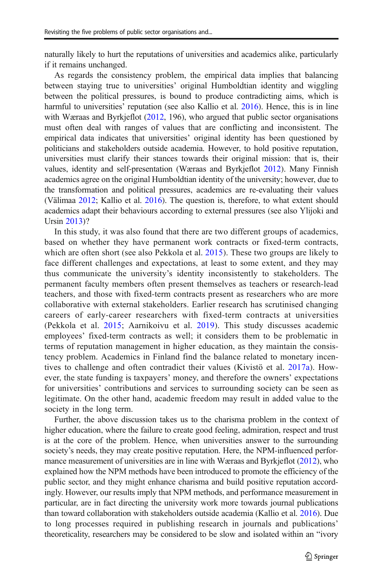naturally likely to hurt the reputations of universities and academics alike, particularly if it remains unchanged.

As regards the consistency problem, the empirical data implies that balancing between staying true to universities' original Humboldtian identity and wiggling between the political pressures, is bound to produce contradicting aims, which is harmful to universities' reputation (see also Kallio et al. [2016\)](#page-22-0). Hence, this is in line with Wæraas and Byrkjeflot ([2012](#page-23-0), 196), who argued that public sector organisations must often deal with ranges of values that are conflicting and inconsistent. The empirical data indicates that universities' original identity has been questioned by politicians and stakeholders outside academia. However, to hold positive reputation, universities must clarify their stances towards their original mission: that is, their values, identity and self-presentation (Wæraas and Byrkjeflot [2012](#page-23-0)). Many Finnish academics agree on the original Humboldtian identity of the university; however, due to the transformation and political pressures, academics are re-evaluating their values (Välimaa [2012;](#page-23-0) Kallio et al. [2016\)](#page-22-0). The question is, therefore, to what extent should academics adapt their behaviours according to external pressures (see also Ylijoki and Ursin [2013\)](#page-24-0)?

In this study, it was also found that there are two different groups of academics, based on whether they have permanent work contracts or fixed-term contracts, which are often short (see also Pekkola et al. [2015](#page-22-0)). These two groups are likely to face different challenges and expectations, at least to some extent, and they may thus communicate the university's identity inconsistently to stakeholders. The permanent faculty members often present themselves as teachers or research-lead teachers, and those with fixed-term contracts present as researchers who are more collaborative with external stakeholders. Earlier research has scrutinised changing careers of early-career researchers with fixed-term contracts at universities (Pekkola et al. [2015;](#page-22-0) Aarnikoivu et al. [2019](#page-21-0)). This study discusses academic employees' fixed-term contracts as well; it considers them to be problematic in terms of reputation management in higher education, as they maintain the consistency problem. Academics in Finland find the balance related to monetary incentives to challenge and often contradict their values (Kivistö et al. [2017a\)](#page-22-0). However, the state funding is taxpayers' money, and therefore the owners' expectations for universities' contributions and services to surrounding society can be seen as legitimate. On the other hand, academic freedom may result in added value to the society in the long term.

Further, the above discussion takes us to the charisma problem in the context of higher education, where the failure to create good feeling, admiration, respect and trust is at the core of the problem. Hence, when universities answer to the surrounding society's needs, they may create positive reputation. Here, the NPM-influenced performance measurement of universities are in line with Wæraas and Byrkjeflot [\(2012\)](#page-23-0), who explained how the NPM methods have been introduced to promote the efficiency of the public sector, and they might enhance charisma and build positive reputation accordingly. However, our results imply that NPM methods, and performance measurement in particular, are in fact directing the university work more towards journal publications than toward collaboration with stakeholders outside academia (Kallio et al. [2016\)](#page-22-0). Due to long processes required in publishing research in journals and publications' theoreticality, researchers may be considered to be slow and isolated within an "ivory"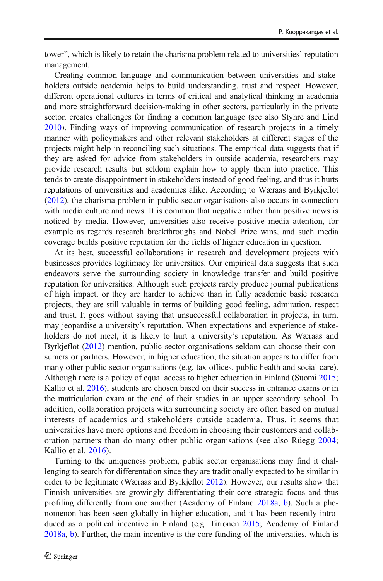tower", which is likely to retain the charisma problem related to universities' reputation management.

Creating common language and communication between universities and stakeholders outside academia helps to build understanding, trust and respect. However, different operational cultures in terms of critical and analytical thinking in academia and more straightforward decision-making in other sectors, particularly in the private sector, creates challenges for finding a common language (see also Styhre and Lind [2010\)](#page-23-0). Finding ways of improving communication of research projects in a timely manner with policymakers and other relevant stakeholders at different stages of the projects might help in reconciling such situations. The empirical data suggests that if they are asked for advice from stakeholders in outside academia, researchers may provide research results but seldom explain how to apply them into practice. This tends to create disappointment in stakeholders instead of good feeling, and thus it hurts reputations of universities and academics alike. According to Wæraas and Byrkjeflot [\(2012\)](#page-23-0), the charisma problem in public sector organisations also occurs in connection with media culture and news. It is common that negative rather than positive news is noticed by media. However, universities also receive positive media attention, for example as regards research breakthroughs and Nobel Prize wins, and such media coverage builds positive reputation for the fields of higher education in question.

At its best, successful collaborations in research and development projects with businesses provides legitimacy for universities. Our empirical data suggests that such endeavors serve the surrounding society in knowledge transfer and build positive reputation for universities. Although such projects rarely produce journal publications of high impact, or they are harder to achieve than in fully academic basic research projects, they are still valuable in terms of building good feeling, admiration, respect and trust. It goes without saying that unsuccessful collaboration in projects, in turn, may jeopardise a university's reputation. When expectations and experience of stakeholders do not meet, it is likely to hurt a university's reputation. As Wæraas and Byrkjeflot [\(2012\)](#page-23-0) mention, public sector organisations seldom can choose their consumers or partners. However, in higher education, the situation appears to differ from many other public sector organisations (e.g. tax offices, public health and social care). Although there is a policy of equal access to higher education in Finland (Suomi [2015;](#page-23-0) Kallio et al. [2016](#page-22-0)), students are chosen based on their success in entrance exams or in the matriculation exam at the end of their studies in an upper secondary school. In addition, collaboration projects with surrounding society are often based on mutual interests of academics and stakeholders outside academia. Thus, it seems that universities have more options and freedom in choosing their customers and collaboration partners than do many other public organisations (see also Rüegg [2004;](#page-23-0) Kallio et al. [2016\)](#page-22-0).

Turning to the uniqueness problem, public sector organisations may find it challenging to search for differentation since they are traditionally expected to be similar in order to be legitimate (Wæraas and Byrkjeflot [2012](#page-23-0)). However, our results show that Finnish universities are growingly differentiating their core strategic focus and thus profiling differently from one another (Academy of Finland [2018a](#page-21-0), [b](#page-21-0)). Such a phenomenon has been seen globally in higher education, and it has been recently introduced as a political incentive in Finland (e.g. Tirronen [2015](#page-23-0); Academy of Finland [2018a,](#page-21-0) [b](#page-21-0)). Further, the main incentive is the core funding of the universities, which is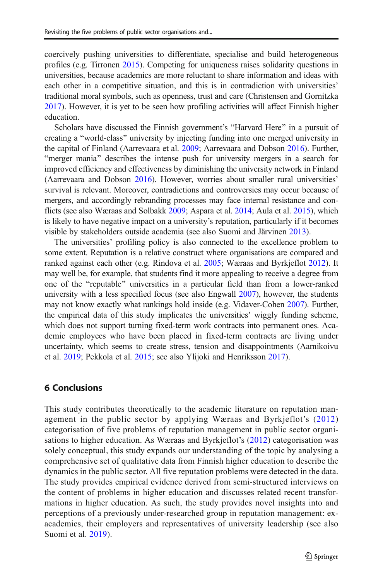coercively pushing universities to differentiate, specialise and build heterogeneous profiles (e.g. Tirronen [2015](#page-23-0)). Competing for uniqueness raises solidarity questions in universities, because academics are more reluctant to share information and ideas with each other in a competitive situation, and this is in contradiction with universities' traditional moral symbols, such as openness, trust and care (Christensen and Gornitzka [2017\)](#page-21-0). However, it is yet to be seen how profiling activities will affect Finnish higher education.

Scholars have discussed the Finnish government's "Harvard Here" in a pursuit of creating a "world-class" university by injecting funding into one merged university in the capital of Finland (Aarrevaara et al. [2009](#page-21-0); Aarrevaara and Dobson [2016](#page-21-0)). Further, "merger mania" describes the intense push for university mergers in a search for improved efficiency and effectiveness by diminishing the university network in Finland (Aarrevaara and Dobson [2016](#page-21-0)). However, worries about smaller rural universities' survival is relevant. Moreover, contradictions and controversies may occur because of mergers, and accordingly rebranding processes may face internal resistance and conflicts (see also Wæraas and Solbakk [2009](#page-23-0); Aspara et al. [2014;](#page-21-0) Aula et al. [2015](#page-21-0)), which is likely to have negative impact on a university's reputation, particularly if it becomes visible by stakeholders outside academia (see also Suomi and Järvinen [2013](#page-23-0)).

The universities' profiling policy is also connected to the excellence problem to some extent. Reputation is a relative construct where organisations are compared and ranked against each other (e.g. Rindova et al. [2005;](#page-23-0) Wæraas and Byrkjeflot [2012\)](#page-23-0). It may well be, for example, that students find it more appealing to receive a degree from one of the "reputable" universities in a particular field than from a lower-ranked university with a less specified focus (see also Engwall [2007\)](#page-21-0), however, the students may not know exactly what rankings hold inside (e.g. Vidaver-Cohen [2007](#page-23-0)). Further, the empirical data of this study implicates the universities' wiggly funding scheme, which does not support turning fixed-term work contracts into permanent ones. Academic employees who have been placed in fixed-term contracts are living under uncertainty, which seems to create stress, tension and disappointments (Aarnikoivu et al. [2019;](#page-21-0) Pekkola et al. [2015](#page-22-0); see also Ylijoki and Henriksson [2017\)](#page-24-0).

# 6 Conclusions

This study contributes theoretically to the academic literature on reputation management in the public sector by applying Wæraas and Byrkjeflot's ([2012](#page-23-0)) categorisation of five problems of reputation management in public sector organisations to higher education. As Wæraas and Byrkjeflot's ([2012](#page-23-0)) categorisation was solely conceptual, this study expands our understanding of the topic by analysing a comprehensive set of qualitative data from Finnish higher education to describe the dynamics in the public sector. All five reputation problems were detected in the data. The study provides empirical evidence derived from semi-structured interviews on the content of problems in higher education and discusses related recent transformations in higher education. As such, the study provides novel insights into and perceptions of a previously under-researched group in reputation management: exacademics, their employers and representatives of university leadership (see also Suomi et al. [2019\)](#page-23-0).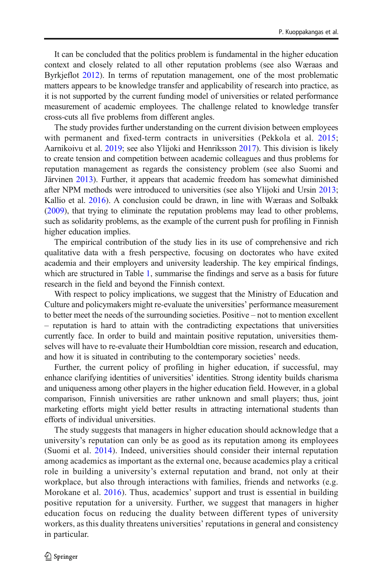It can be concluded that the politics problem is fundamental in the higher education context and closely related to all other reputation problems (see also Wæraas and Byrkjeflot [2012](#page-23-0)). In terms of reputation management, one of the most problematic matters appears to be knowledge transfer and applicability of research into practice, as it is not supported by the current funding model of universities or related performance measurement of academic employees. The challenge related to knowledge transfer cross-cuts all five problems from different angles.

The study provides further understanding on the current division between employees with permanent and fixed-term contracts in universities (Pekkola et al. [2015;](#page-22-0) Aarnikoivu et al. [2019](#page-21-0); see also Ylijoki and Henriksson [2017\)](#page-24-0). This division is likely to create tension and competition between academic colleagues and thus problems for reputation management as regards the consistency problem (see also Suomi and Järvinen [2013\)](#page-23-0). Further, it appears that academic freedom has somewhat diminished after NPM methods were introduced to universities (see also Ylijoki and Ursin [2013;](#page-24-0) Kallio et al. [2016](#page-22-0)). A conclusion could be drawn, in line with Wæraas and Solbakk [\(2009\)](#page-23-0), that trying to eliminate the reputation problems may lead to other problems, such as solidarity problems, as the example of the current push for profiling in Finnish higher education implies.

The empirical contribution of the study lies in its use of comprehensive and rich qualitative data with a fresh perspective, focusing on doctorates who have exited academia and their employers and university leadership. The key empirical findings, which are structured in Table [1,](#page-15-0) summarise the findings and serve as a basis for future research in the field and beyond the Finnish context.

With respect to policy implications, we suggest that the Ministry of Education and Culture and policymakers might re-evaluate the universities' performance measurement to better meet the needs of the surrounding societies. Positive – not to mention excellent – reputation is hard to attain with the contradicting expectations that universities currently face. In order to build and maintain positive reputation, universities themselves will have to re-evaluate their Humboldtian core mission, research and education, and how it is situated in contributing to the contemporary societies' needs.

Further, the current policy of profiling in higher education, if successful, may enhance clarifying identities of universities' identities. Strong identity builds charisma and uniqueness among other players in the higher education field. However, in a global comparison, Finnish universities are rather unknown and small players; thus, joint marketing efforts might yield better results in attracting international students than efforts of individual universities.

The study suggests that managers in higher education should acknowledge that a university's reputation can only be as good as its reputation among its employees (Suomi et al. [2014\)](#page-23-0). Indeed, universities should consider their internal reputation among academics as important as the external one, because academics play a critical role in building a university's external reputation and brand, not only at their workplace, but also through interactions with families, friends and networks (e.g. Morokane et al. [2016\)](#page-22-0). Thus, academics' support and trust is essential in building positive reputation for a university. Further, we suggest that managers in higher education focus on reducing the duality between different types of university workers, as this duality threatens universities' reputations in general and consistency in particular.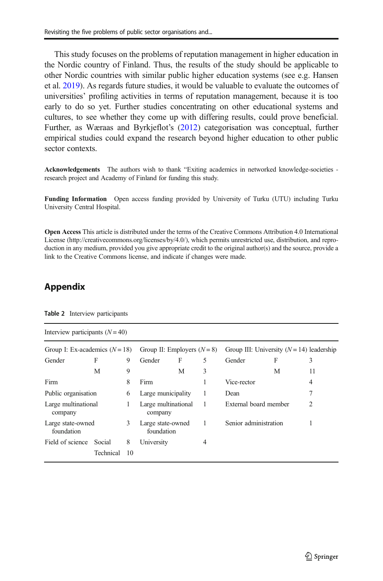<span id="page-20-0"></span>This study focuses on the problems of reputation management in higher education in the Nordic country of Finland. Thus, the results of the study should be applicable to other Nordic countries with similar public higher education systems (see e.g. Hansen et al. [2019\)](#page-22-0). As regards future studies, it would be valuable to evaluate the outcomes of universities' profiling activities in terms of reputation management, because it is too early to do so yet. Further studies concentrating on other educational systems and cultures, to see whether they come up with differing results, could prove beneficial. Further, as Wæraas and Byrkjeflot's [\(2012\)](#page-23-0) categorisation was conceptual, further empirical studies could expand the research beyond higher education to other public sector contexts.

Acknowledgements The authors wish to thank "Exiting academics in networked knowledge-societies research project and Academy of Finland for funding this study.

Funding Information Open access funding provided by University of Turku (UTU) including Turku University Central Hospital.

Open Access This article is distributed under the terms of the Creative Commons Attribution 4.0 International License (http://creativecommons.org/licenses/by/4.0/), which permits unrestricted use, distribution, and reproduction in any medium, provided you give appropriate credit to the original author(s) and the source, provide a link to the Creative Commons license, and indicate if changes were made.

# Appendix

| Interview participants $(N = 40)$ |         |                                 |   |                                             |                       |   |    |  |  |  |  |  |
|-----------------------------------|---------|---------------------------------|---|---------------------------------------------|-----------------------|---|----|--|--|--|--|--|
| Group I: Ex-academics $(N = 18)$  |         | Group II: Employers $(N=8)$     |   | Group III: University $(N = 14)$ leadership |                       |   |    |  |  |  |  |  |
| F                                 | 9       | Gender                          | F | 5                                           | Gender                | F | 3  |  |  |  |  |  |
| M                                 | 9       |                                 | M | 3                                           |                       | M | 11 |  |  |  |  |  |
|                                   | 8       | Firm                            |   |                                             | Vice-rector           |   | 4  |  |  |  |  |  |
| Public organisation               |         | Large municipality              |   | 1                                           | Dean                  |   | 7  |  |  |  |  |  |
| Large multinational<br>company    |         | Large multinational<br>company  |   | 1                                           | External board member |   | 2  |  |  |  |  |  |
| Large state-owned<br>foundation   |         | Large state-owned<br>foundation |   | 1                                           | Senior administration |   |    |  |  |  |  |  |
| Social<br>Technical               | 8<br>10 | University                      |   | 4                                           |                       |   |    |  |  |  |  |  |
|                                   |         | 6<br>1<br>3                     |   |                                             |                       |   |    |  |  |  |  |  |

Table 2 Interview participants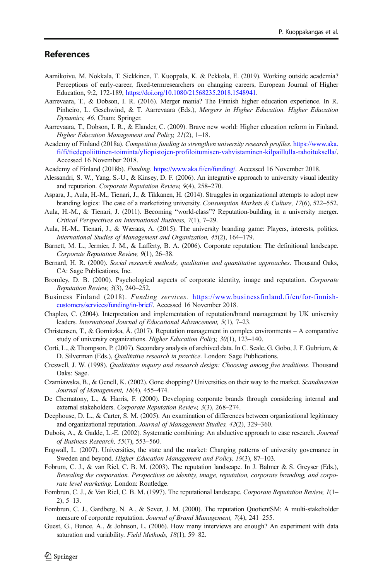# <span id="page-21-0"></span>References

- Aarnikoivu, M. Nokkala, T. Siekkinen, T. Kuoppala, K. & Pekkola, E. (2019). Working outside academia? Perceptions of early-career, fixed-termresearchers on changing careers, European Journal of Higher Education, 9:2, 172-189, [https://doi.org/10.1080/21568235.2018.1548941.](https://doi.org/10.1080/21568235.2018.1548941)
- Aarrevaara, T., & Dobson, I. R. (2016). Merger mania? The Finnish higher education experience. In R. Pinheiro, L. Geschwind, & T. Aarrevaara (Eds.), Mergers in Higher Education. Higher Education Dynamics, 46. Cham: Springer.
- Aarrevaara, T., Dobson, I. R., & Elander, C. (2009). Brave new world: Higher education reform in Finland. Higher Education Management and Policy, 21(2), 1–18.
- Academy of Finland (2018a). Competitive funding to strengthen university research profiles. [https://www.aka.](https://www.aka.fi/fi/tiedepoliittinen-toiminta/yliopistojen-profiloitumisen-vahvistaminen-kilpaillulla-rahoituksella/) [fi/fi/tiedepoliittinen-toiminta/yliopistojen-profiloitumisen-vahvistaminen-kilpaillulla-rahoituksella/](https://www.aka.fi/fi/tiedepoliittinen-toiminta/yliopistojen-profiloitumisen-vahvistaminen-kilpaillulla-rahoituksella/). Accessed 16 November 2018.
- Academy of Finland (2018b). Funding. [https://www.aka.fi/en/funding/.](https://www.aka.fi/en/funding/) Accessed 16 November 2018.
- Alessandri, S. W., Yang, S.-U., & Kinsey, D. F. (2006). An integrative approach to university visual identity and reputation. Corporate Reputation Review, 9(4), 258–270.
- Aspara, J., Aula, H.-M., Tienari, J., & Tikkanen, H. (2014). Struggles in organizational attempts to adopt new branding logics: The case of a marketizing university. Consumption Markets & Culture, 17(6), 522–552.
- Aula, H.-M., & Tienari, J. (2011). Becoming "world-class"? Reputation-building in a university merger. Critical Perspectives on International Business, 7(1), 7–29.
- Aula, H.-M., Tienari, J., & Wæraas, A. (2015). The university branding game: Players, interests, politics. International Studies of Management and Organization, 45(2), 164–179.
- Barnett, M. L., Jermier, J. M., & Lafferty, B. A. (2006). Corporate reputation: The definitional landscape. Corporate Reputation Review, 9(1), 26–38.
- Bernard, H. R. (2000). Social research methods, qualitative and quantitative approaches. Thousand Oaks, CA: Sage Publications, Inc.
- Bromley, D. B. (2000). Psychological aspects of corporate identity, image and reputation. Corporate Reputation Review, 3(3), 240–252.
- Business Finland (2018). Funding services. [https://www.businessfinland.fi/en/for-finnish](https://www.businessfinland.fi/en/for-finnish-customers/services/funding/in-brief/)[customers/services/funding/in-brief/](https://www.businessfinland.fi/en/for-finnish-customers/services/funding/in-brief/). Accessed 16 November 2018.
- Chapleo, C. (2004). Interpretation and implementation of reputation/brand management by UK university leaders. International Journal of Educational Advancement, 5(1), 7–23.
- Christensen, T., & Gornitzka, Å. (2017). Reputation management in complex environments A comparative study of university organizations. Higher Education Policy, 30(1), 123–140.
- Corti, L., & Thompson, P. (2007). Secondary analysis of archived data. In C. Seale, G. Gobo, J. F. Gubrium, & D. Silverman (Eds.), Qualitative research in practice. London: Sage Publications.
- Creswell, J. W. (1998). Qualitative inquiry and research design: Choosing among five traditions. Thousand Oaks: Sage.
- Czarniawska, B., & Genell, K. (2002). Gone shopping? Universities on their way to the market. Scandinavian Journal of Management, 18(4), 455–474.
- De Chernatony, L., & Harris, F. (2000). Developing corporate brands through considering internal and external stakeholders. Corporate Reputation Review, 3(3), 268–274.
- Deephouse, D. L., & Carter, S. M. (2005). An examination of differences between organizational legitimacy and organizational reputation. Journal of Management Studies, 42(2), 329–360.
- Dubois, A., & Gadde, L.-E. (2002). Systematic combining: An abductive approach to case research. Journal of Business Research, 55(7), 553–560.
- Engwall, L. (2007). Universities, the state and the market: Changing patterns of university governance in Sweden and beyond. Higher Education Management and Policy, 19(3), 87–103.
- Fobrum, C. J., & van Riel, C. B. M. (2003). The reputation landscape. In J. Balmer & S. Greyser (Eds.), Revealing the corporation. Perspectives on identity, image, reputation, corporate branding, and corporate level marketing. London: Routledge.
- Fombrun, C. J., & Van Riel, C. B. M. (1997). The reputational landscape. Corporate Reputation Review, 1(1-2), 5–13.
- Fombrun, C. J., Gardberg, N. A., & Sever, J. M. (2000). The reputation QuotientSM: A multi-stakeholder measure of corporate reputation. Journal of Brand Management, 7(4), 241–255.
- Guest, G., Bunce, A., & Johnson, L. (2006). How many interviews are enough? An experiment with data saturation and variability. Field Methods, 18(1), 59–82.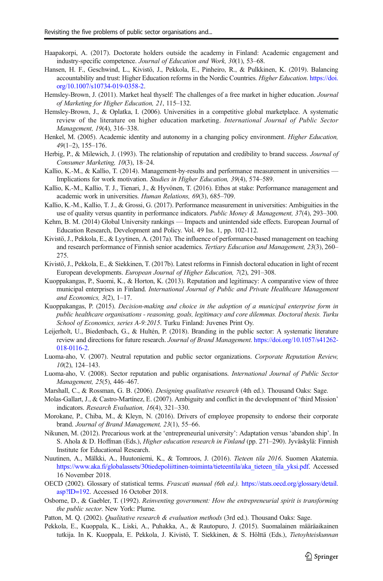- <span id="page-22-0"></span>Haapakorpi, A. (2017). Doctorate holders outside the academy in Finland: Academic engagement and industry-specific competence. Journal of Education and Work, 30(1), 53–68.
- Hansen, H. F., Geschwind, L., Kivistö, J., Pekkola, E., Pinheiro, R., & Pulkkinen, K. (2019). Balancing accountability and trust: Higher Education reforms in the Nordic Countries. Higher Education. [https://doi.](https://doi.org/10.1007/s10734-019-0358-2) [org/10.1007/s10734-019-0358-2](https://doi.org/10.1007/s10734-019-0358-2).
- Hemsley-Brown, J. (2011). Market heal thyself: The challenges of a free market in higher education. *Journal* of Marketing for Higher Education, 21, 115–132.
- Hemsley-Brown, J., & Oplatka, I. (2006). Universities in a competitive global marketplace. A systematic review of the literature on higher education marketing. International Journal of Public Sector Management, 19(4), 316–338.
- Henkel, M. (2005). Academic identity and autonomy in a changing policy environment. *Higher Education*, 49(1–2), 155–176.
- Herbig, P., & Milewich, J. (1993). The relationship of reputation and credibility to brand success. *Journal of* Consumer Marketing, 10(3), 18–24.
- Kallio, K.-M., & Kallio, T. (2014). Management-by-results and performance measurement in universities -Implications for work motivation. Studies in Higher Education, 39(4), 574–589.
- Kallio, K.-M., Kallio, T. J., Tienari, J., & Hyvönen, T. (2016). Ethos at stake: Performance management and academic work in universities. Human Relations, 69(3), 685–709.
- Kallio, K.-M., Kallio, T. J., & Grossi, G. (2017). Performance measurement in universities: Ambiguities in the use of quality versus quantity in performance indicators. Public Money & Management, 37(4), 293–300.
- Kehm, B. M. (2014) Global University rankings Impacts and unintended side effects. European Journal of Education Research, Development and Policy. Vol. 49 Iss. 1, pp. 102-112.
- Kivistö, J., Pekkola, E., & Lyytinen, A. (2017a). The influence of performance-based management on teaching and research performance of Finnish senior academics. Tertiary Education and Management, 23(3), 260– 275.
- Kivistö, J., Pekkola, E., & Siekkinen, T. (2017b). Latest reforms in Finnish doctoral education in light of recent European developments. European Journal of Higher Education, 7(2), 291–308.
- Kuoppakangas, P., Suomi, K., & Horton, K. (2013). Reputation and legitimacy: A comparative view of three municipal enterprises in Finland. International Journal of Public and Private Healthcare Management and Economics,  $3(2)$ ,  $1-17$ .
- Kuoppakangas, P. (2015). Decision-making and choice in the adoption of a municipal enterprise form in public healthcare organisations - reasoning, goals, legitimacy and core dilemmas. Doctoral thesis. Turku School of Economics, series A-9:2015. Turku Finland: Juvenes Print Oy.
- Leijerholt, U., Biedenbach, G., & Hultén, P. (2018). Branding in the public sector: A systematic literature review and directions for future research. Journal of Brand Management. [https://doi.org/10.1057/s41262-](https://doi.org/10.1057/s41262-018-0116-2) [018-0116-2.](https://doi.org/10.1057/s41262-018-0116-2)
- Luoma-aho, V. (2007). Neutral reputation and public sector organizations. Corporate Reputation Review,  $10(2)$ , 124–143.
- Luoma-aho, V. (2008). Sector reputation and public organisations. International Journal of Public Sector Management, 25(5), 446–467.
- Marshall, C., & Rossman, G. B. (2006). *Designing qualitative research* (4th ed.). Thousand Oaks: Sage.
- Molas-Gallart, J., & Castro-Martínez, E. (2007). Ambiguity and conflict in the development of 'third Mission' indicators. Research Evaluation, 16(4), 321–330.
- Morokane, P., Chiba, M., & Kleyn, N. (2016). Drivers of employee propensity to endorse their corporate brand. Journal of Brand Management, 23(1), 55–66.
- Nikunen, M. (2012). Precarious work at the 'entrepreneurial university': Adaptation versus 'abandon ship'. In S. Ahola & D. Hoffman (Eds.), Higher education research in Finland (pp. 271–290). Jyväskylä: Finnish Institute for Educational Research.
- Nuutinen, A., Mälkki, A., Huutoniemi, K., & Tornroos, J. (2016). Tieteen tila 2016. Suomen Akatemia. [https://www.aka.fi/globalassets/30tiedepoliittinen-toiminta/tieteentila/aka\\_tieteen\\_tila\\_yksi.pdf](https://www.aka.fi/globalassets/30tiedepoliittinen-toiminta/tieteentila/aka_tieteen_tila_yksi.pdf). Accessed 16 November 2018.
- OECD (2002). Glossary of statistical terms. Frascati manual (6th ed.). [https://stats.oecd.org/glossary/detail.](https://stats.oecd.org/glossary/detail.asp?ID=192) [asp?ID=192.](https://stats.oecd.org/glossary/detail.asp?ID=192) Accessed 16 October 2018.
- Osborne, D., & Gaebler, T. (1992). Reinventing government: How the entrepreneurial spirit is transforming the public sector. New York: Plume.
- Patton, M. Q. (2002). Qualitative research & evaluation methods (3rd ed.). Thousand Oaks: Sage.
- Pekkola, E., Kuoppala, K., Liski, A., Puhakka, A., & Rautopuro, J. (2015). Suomalainen määräaikainen tutkija. In K. Kuoppala, E. Pekkola, J. Kivistö, T. Siekkinen, & S. Hölttä (Eds.), Tietoyhteiskunnan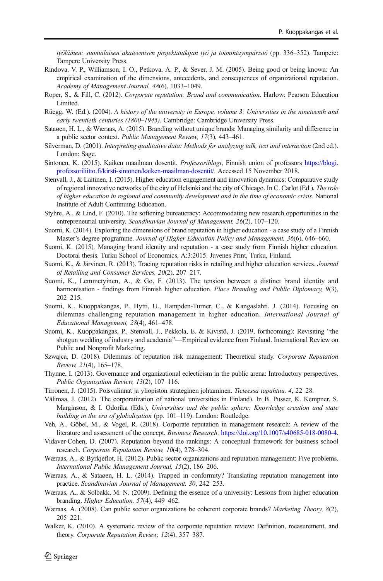<span id="page-23-0"></span>työläinen: suomalaisen akateemisen projektitutkijan työ ja toimintaympäristö (pp. 336–352). Tampere: Tampere University Press.

- Rindova, V. P., Williamson, I. O., Petkova, A. P., & Sever, J. M. (2005). Being good or being known: An empirical examination of the dimensions, antecedents, and consequences of organizational reputation. Academy of Management Journal, 48(6), 1033–1049.
- Roper, S., & Fill, C. (2012). Corporate reputation: Brand and communication. Harlow: Pearson Education Limited.
- Rüegg, W. (Ed.). (2004). A history of the university in Europe, volume 3: Universities in the nineteenth and early twentieth centuries (1800–1945). Cambridge: Cambridge University Press.
- Sataøen, H. L., & Wæraas, A. (2015). Branding without unique brands: Managing similarity and difference in a public sector context. Public Management Review, 17(3), 443–461.
- Silverman, D. (2001). Interpreting qualitative data: Methods for analyzing talk, text and interaction (2nd ed.). London: Sage.
- Sintonen, K. (2015). Kaiken maailman dosentit. Professoriblogi, Finnish union of professors [https://blogi.](https://blogi.professoriliitto.fi/kirsti-sintonen/kaiken-maailman-dosentit/) [professoriliitto.fi/kirsti-sintonen/kaiken-maailman-dosentit/.](https://blogi.professoriliitto.fi/kirsti-sintonen/kaiken-maailman-dosentit/) Accessed 15 November 2018.
- Stenvall, J., & Laitinen, I. (2015). Higher education engagement and innovation dynamics: Comparative study of regional innovative networks of the city of Helsinki and the city of Chicago. In C. Carlot (Ed.), The role of higher education in regional and community development and in the time of economic crisis. National Institute of Adult Continuing Education.
- Styhre, A., & Lind, F. (2010). The softening bureaucracy: Accommodating new research opportunities in the entrepreneurial university. Scandinavian Journal of Management, 26(2), 107–120.
- Suomi, K. (2014). Exploring the dimensions of brand reputation in higher education a case study of a Finnish Master's degree programme. Journal of Higher Education Policy and Management, 36(6), 646–660.
- Suomi, K. (2015). Managing brand identity and reputation a case study from Finnish higher education. Doctoral thesis. Turku School of Economics, A:3:2015. Juvenes Print, Turku, Finland.
- Suomi, K., & Järvinen, R. (2013). Tracing reputation risks in retailing and higher education services. Journal of Retailing and Consumer Services, 20(2), 207–217.
- Suomi, K., Lemmetyinen, A., & Go, F. (2013). The tension between a distinct brand identity and harmonisation - findings from Finnish higher education. Place Branding and Public Diplomacy, 9(3), 202–215.
- Suomi, K., Kuoppakangas, P., Hytti, U., Hampden-Turner, C., & Kangaslahti, J. (2014). Focusing on dilemmas challenging reputation management in higher education. International Journal of Educational Management, 28(4), 461–478.
- Suomi, K., Kuoppakangas, P., Stenvall, J., Pekkola, E. & Kivistö, J. (2019, forthcoming): Revisiting "the shotgun wedding of industry and academia"—Empirical evidence from Finland. International Review on Public and Nonprofit Marketing.
- Szwajca, D. (2018). Dilemmas of reputation risk management: Theoretical study. Corporate Reputation Review, 21(4), 165–178.
- Thynne, I. (2013). Governance and organizational eclecticism in the public arena: Introductory perspectives. Public Organization Review, 13(2), 107–116.
- Tirronen, J. (2015). Poisvalinnat ja yliopiston strateginen johtaminen. Tieteessa tapahtuu, 4, 22–28.
- Välimaa, J. (2012). The corporatization of national universities in Finland). In B. Pusser, K. Kempner, S. Marginson, & I. Odorika (Eds.), Universities and the public sphere: Knowledge creation and state building in the era of globalization (pp. 101–119). London: Routledge.
- Veh, A., Göbel, M., & Vogel, R. (2018). Corporate reputation in management research: A review of the literature and assessment of the concept. Business Research. <https://doi.org/10.1007/s40685-018-0080-4>.
- Vidaver-Cohen, D. (2007). Reputation beyond the rankings: A conceptual framework for business school research. Corporate Reputation Review, 10(4), 278–304.
- Wæraas, A., & Byrkjeflot, H. (2012). Public sector organizations and reputation management: Five problems. International Public Management Journal, 15(2), 186–206.
- Wæraas, A., & Sataøen, H. L. (2014). Trapped in conformity? Translating reputation management into practice. Scandinavian Journal of Management, 30, 242–253.
- Wæraas, A., & Solbakk, M. N. (2009). Defining the essence of a university: Lessons from higher education branding. Higher Education, 57(4), 449–462.
- Wæraas, A. (2008). Can public sector organizations be coherent corporate brands? Marketing Theory, 8(2), 205–221.
- Walker, K. (2010). A systematic review of the corporate reputation review: Definition, measurement, and theory. Corporate Reputation Review, 12(4), 357–387.